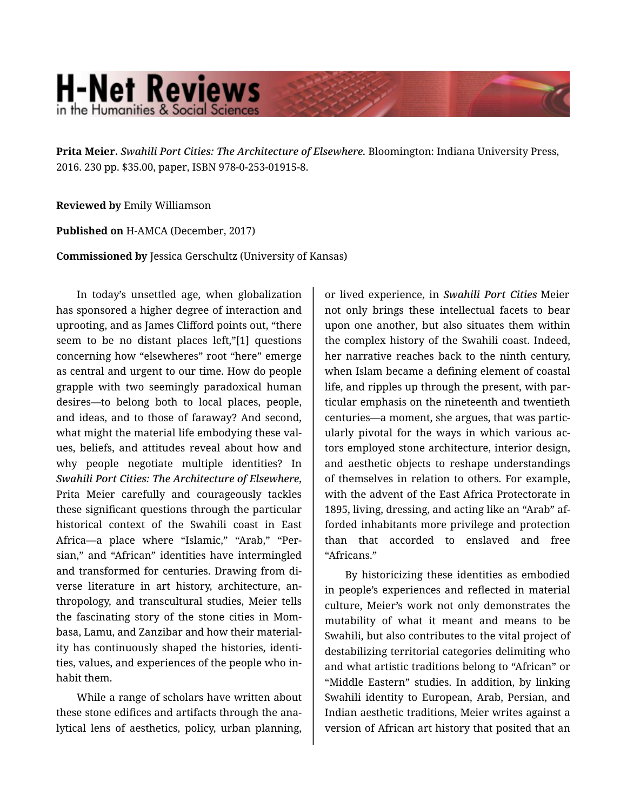## **H-Net Reviews** in the Humanities & Social Scienc

**Prita Meier.** *Swahili Port Cities: The Architecture of Elsewhere.* Bloomington: Indiana University Press, 2016. 230 pp. \$35.00, paper, ISBN 978-0-253-01915-8.

**Reviewed by** Emily Williamson

**Published on** H-AMCA (December, 2017)

**Commissioned by** Jessica Gerschultz (University of Kansas)

In today's unsettled age, when globalization has sponsored a higher degree of interaction and uprooting, and as James Clifford points out, "there seem to be no distant places left,"[1] questions concerning how "elsewheres" root "here" emerge as central and urgent to our time. How do people grapple with two seemingly paradoxical human desires—to belong both to local places, people, and ideas, and to those of faraway? And second, what might the material life embodying these val‐ ues, beliefs, and attitudes reveal about how and why people negotiate multiple identities? In *Swahili Port Cities: The Architecture of Elsewhere*, Prita Meier carefully and courageously tackles these significant questions through the particular historical context of the Swahili coast in East Africa—a place where "Islamic," "Arab," "Per‐ sian," and "African" identities have intermingled and transformed for centuries. Drawing from di‐ verse literature in art history, architecture, an‐ thropology, and transcultural studies, Meier tells the fascinating story of the stone cities in Mom‐ basa, Lamu, and Zanzibar and how their material‐ ity has continuously shaped the histories, identi‐ ties, values, and experiences of the people who in‐ habit them.

While a range of scholars have written about these stone edifices and artifacts through the ana‐ lytical lens of aesthetics, policy, urban planning,

or lived experience, in *Swahili Port Cities* Meier not only brings these intellectual facets to bear upon one another, but also situates them within the complex history of the Swahili coast. Indeed, her narrative reaches back to the ninth century, when Islam became a defining element of coastal life, and ripples up through the present, with par‐ ticular emphasis on the nineteenth and twentieth centuries—a moment, she argues, that was partic‐ ularly pivotal for the ways in which various ac‐ tors employed stone architecture, interior design, and aesthetic objects to reshape understandings of themselves in relation to others. For example, with the advent of the East Africa Protectorate in 1895, living, dressing, and acting like an "Arab" af‐ forded inhabitants more privilege and protection than that accorded to enslaved and free "Africans."

By historicizing these identities as embodied in people's experiences and reflected in material culture, Meier's work not only demonstrates the mutability of what it meant and means to be Swahili, but also contributes to the vital project of destabilizing territorial categories delimiting who and what artistic traditions belong to "African" or "Middle Eastern" studies. In addition, by linking Swahili identity to European, Arab, Persian, and Indian aesthetic traditions, Meier writes against a version of African art history that posited that an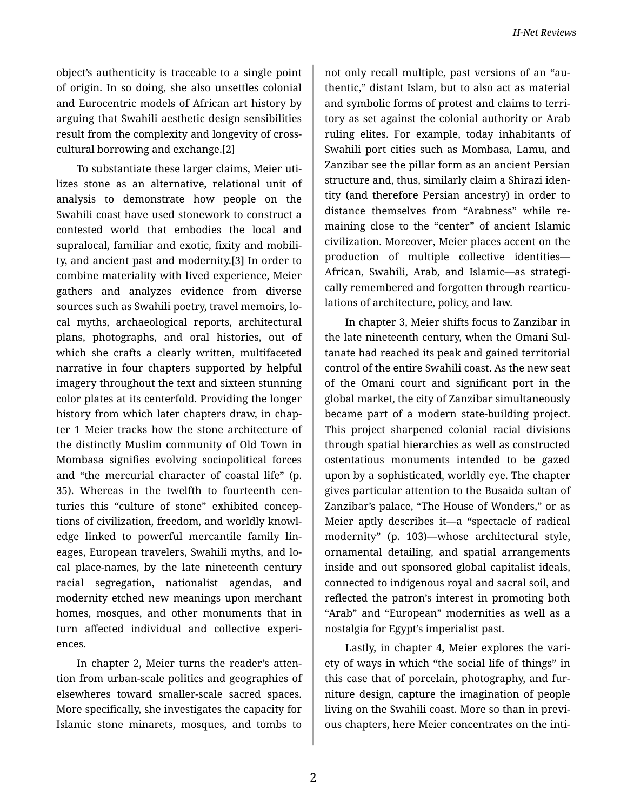object's authenticity is traceable to a single point of origin. In so doing, she also unsettles colonial and Eurocentric models of African art history by arguing that Swahili aesthetic design sensibilities result from the complexity and longevity of crosscultural borrowing and exchange.[2]

To substantiate these larger claims, Meier uti‐ lizes stone as an alternative, relational unit of analysis to demonstrate how people on the Swahili coast have used stonework to construct a contested world that embodies the local and supralocal, familiar and exotic, fixity and mobili‐ ty, and ancient past and modernity.[3] In order to combine materiality with lived experience, Meier gathers and analyzes evidence from diverse sources such as Swahili poetry, travel memoirs, lo‐ cal myths, archaeological reports, architectural plans, photographs, and oral histories, out of which she crafts a clearly written, multifaceted narrative in four chapters supported by helpful imagery throughout the text and sixteen stunning color plates at its centerfold. Providing the longer history from which later chapters draw, in chapter 1 Meier tracks how the stone architecture of the distinctly Muslim community of Old Town in Mombasa signifies evolving sociopolitical forces and "the mercurial character of coastal life" (p. 35). Whereas in the twelfth to fourteenth cen‐ turies this "culture of stone" exhibited concep‐ tions of civilization, freedom, and worldly knowl‐ edge linked to powerful mercantile family lin‐ eages, European travelers, Swahili myths, and lo‐ cal place-names, by the late nineteenth century racial segregation, nationalist agendas, and modernity etched new meanings upon merchant homes, mosques, and other monuments that in turn affected individual and collective experi‐ ences.

In chapter 2, Meier turns the reader's atten‐ tion from urban-scale politics and geographies of elsewheres toward smaller-scale sacred spaces. More specifically, she investigates the capacity for Islamic stone minarets, mosques, and tombs to

not only recall multiple, past versions of an "au‐ thentic," distant Islam, but to also act as material and symbolic forms of protest and claims to terri‐ tory as set against the colonial authority or Arab ruling elites. For example, today inhabitants of Swahili port cities such as Mombasa, Lamu, and Zanzibar see the pillar form as an ancient Persian structure and, thus, similarly claim a Shirazi iden‐ tity (and therefore Persian ancestry) in order to distance themselves from "Arabness" while re‐ maining close to the "center" of ancient Islamic civilization. Moreover, Meier places accent on the production of multiple collective identities— African, Swahili, Arab, and Islamic—as strategi‐ cally remembered and forgotten through rearticulations of architecture, policy, and law.

In chapter 3, Meier shifts focus to Zanzibar in the late nineteenth century, when the Omani Sul‐ tanate had reached its peak and gained territorial control of the entire Swahili coast. As the new seat of the Omani court and significant port in the global market, the city of Zanzibar simultaneously became part of a modern state-building project. This project sharpened colonial racial divisions through spatial hierarchies as well as constructed ostentatious monuments intended to be gazed upon by a sophisticated, worldly eye. The chapter gives particular attention to the Busaida sultan of Zanzibar's palace, "The House of Wonders," or as Meier aptly describes it—a "spectacle of radical modernity" (p. 103)—whose architectural style, ornamental detailing, and spatial arrangements inside and out sponsored global capitalist ideals, connected to indigenous royal and sacral soil, and reflected the patron's interest in promoting both "Arab" and "European" modernities as well as a nostalgia for Egypt's imperialist past.

Lastly, in chapter 4, Meier explores the vari‐ ety of ways in which "the social life of things" in this case that of porcelain, photography, and fur‐ niture design, capture the imagination of people living on the Swahili coast. More so than in previ‐ ous chapters, here Meier concentrates on the inti‐

2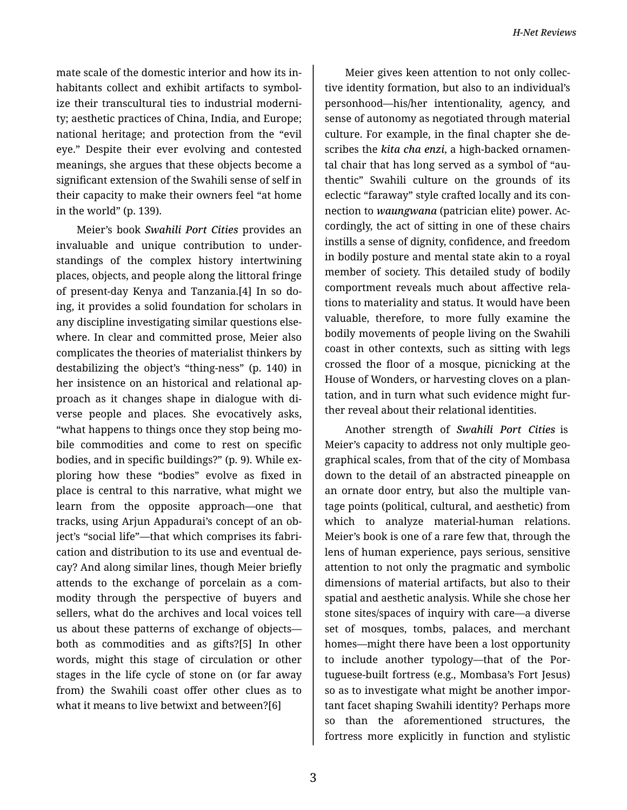mate scale of the domestic interior and how its in‐ habitants collect and exhibit artifacts to symbol‐ ize their transcultural ties to industrial moderni‐ ty; aesthetic practices of China, India, and Europe; national heritage; and protection from the "evil eye." Despite their ever evolving and contested meanings, she argues that these objects become a significant extension of the Swahili sense of self in their capacity to make their owners feel "at home in the world" (p. 139).

Meier's book *Swahili Port Cities* provides an invaluable and unique contribution to under‐ standings of the complex history intertwining places, objects, and people along the littoral fringe of present-day Kenya and Tanzania.[4] In so do‐ ing, it provides a solid foundation for scholars in any discipline investigating similar questions else‐ where. In clear and committed prose, Meier also complicates the theories of materialist thinkers by destabilizing the object's "thing-ness" (p. 140) in her insistence on an historical and relational ap‐ proach as it changes shape in dialogue with di‐ verse people and places. She evocatively asks, "what happens to things once they stop being mo‐ bile commodities and come to rest on specific bodies, and in specific buildings?" (p. 9). While ex‐ ploring how these "bodies" evolve as fixed in place is central to this narrative, what might we learn from the opposite approach—one that tracks, using Arjun Appadurai's concept of an ob‐ ject's "social life"—that which comprises its fabri‐ cation and distribution to its use and eventual de‐ cay? And along similar lines, though Meier briefly attends to the exchange of porcelain as a com‐ modity through the perspective of buyers and sellers, what do the archives and local voices tell us about these patterns of exchange of objects both as commodities and as gifts?[5] In other words, might this stage of circulation or other stages in the life cycle of stone on (or far away from) the Swahili coast offer other clues as to what it means to live betwixt and between?[6]

3

Meier gives keen attention to not only collec‐ tive identity formation, but also to an individual's personhood—his/her intentionality, agency, and sense of autonomy as negotiated through material culture. For example, in the final chapter she de‐ scribes the *kita cha enzi*, a high-backed ornamen‐ tal chair that has long served as a symbol of "au‐ thentic" Swahili culture on the grounds of its eclectic "faraway" style crafted locally and its con‐ nection to *waungwana* (patrician elite) power. Ac‐ cordingly, the act of sitting in one of these chairs instills a sense of dignity, confidence, and freedom in bodily posture and mental state akin to a royal member of society. This detailed study of bodily comportment reveals much about affective rela‐ tions to materiality and status. It would have been valuable, therefore, to more fully examine the bodily movements of people living on the Swahili coast in other contexts, such as sitting with legs crossed the floor of a mosque, picnicking at the House of Wonders, or harvesting cloves on a plan‐ tation, and in turn what such evidence might fur‐ ther reveal about their relational identities.

Another strength of *Swahili Port Cities* is Meier's capacity to address not only multiple geo‐ graphical scales, from that of the city of Mombasa down to the detail of an abstracted pineapple on an ornate door entry, but also the multiple van‐ tage points (political, cultural, and aesthetic) from which to analyze material-human relations. Meier's book is one of a rare few that, through the lens of human experience, pays serious, sensitive attention to not only the pragmatic and symbolic dimensions of material artifacts, but also to their spatial and aesthetic analysis. While she chose her stone sites/spaces of inquiry with care—a diverse set of mosques, tombs, palaces, and merchant homes—might there have been a lost opportunity to include another typology—that of the Por‐ tuguese-built fortress (e.g., Mombasa's Fort Jesus) so as to investigate what might be another impor‐ tant facet shaping Swahili identity? Perhaps more so than the aforementioned structures, the fortress more explicitly in function and stylistic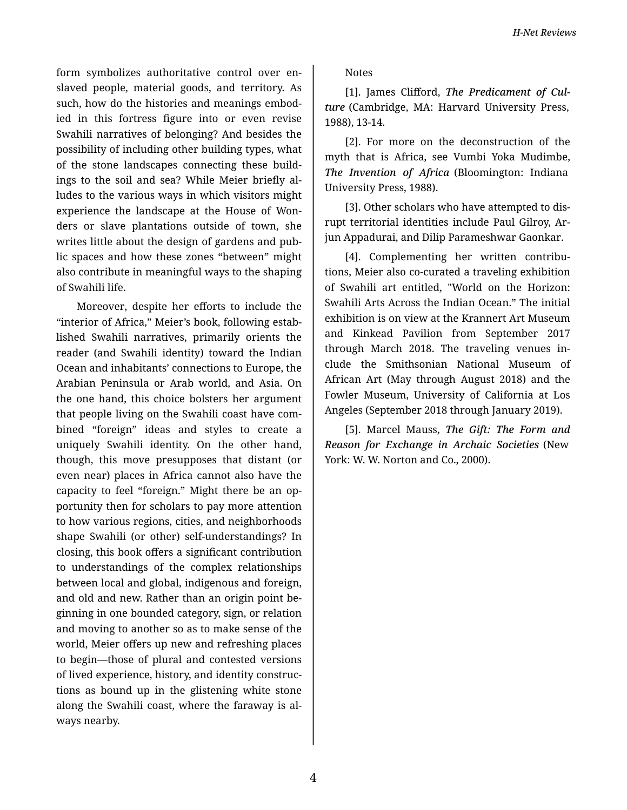form symbolizes authoritative control over en‐ slaved people, material goods, and territory. As such, how do the histories and meanings embod‐ ied in this fortress figure into or even revise Swahili narratives of belonging? And besides the possibility of including other building types, what of the stone landscapes connecting these build‐ ings to the soil and sea? While Meier briefly al‐ ludes to the various ways in which visitors might experience the landscape at the House of Won‐ ders or slave plantations outside of town, she writes little about the design of gardens and pub‐ lic spaces and how these zones "between" might also contribute in meaningful ways to the shaping of Swahili life.

Moreover, despite her efforts to include the "interior of Africa," Meier's book, following estab‐ lished Swahili narratives, primarily orients the reader (and Swahili identity) toward the Indian Ocean and inhabitants' connections to Europe, the Arabian Peninsula or Arab world, and Asia. On the one hand, this choice bolsters her argument that people living on the Swahili coast have com‐ bined "foreign" ideas and styles to create a uniquely Swahili identity. On the other hand, though, this move presupposes that distant (or even near) places in Africa cannot also have the capacity to feel "foreign." Might there be an op‐ portunity then for scholars to pay more attention to how various regions, cities, and neighborhoods shape Swahili (or other) self-understandings? In closing, this book offers a significant contribution to understandings of the complex relationships between local and global, indigenous and foreign, and old and new. Rather than an origin point be‐ ginning in one bounded category, sign, or relation and moving to another so as to make sense of the world, Meier offers up new and refreshing places to begin—those of plural and contested versions of lived experience, history, and identity construc‐ tions as bound up in the glistening white stone along the Swahili coast, where the faraway is al‐ ways nearby.

Notes

[1]. James Clifford, *The Predicament of Cul‐ ture* (Cambridge, MA: Harvard University Press, 1988), 13-14.

[2]. For more on the deconstruction of the myth that is Africa, see Vumbi Yoka Mudimbe, *The Invention of Africa* (Bloomington: Indiana University Press, 1988).

[3]. Other scholars who have attempted to dis‐ rupt territorial identities include Paul Gilroy, Ar‐ jun Appadurai, and Dilip Parameshwar Gaonkar.

[4]. Complementing her written contribu‐ tions, Meier also co-curated a traveling exhibition of Swahili art entitled, "World on the Horizon: Swahili Arts Across the Indian Ocean." The initial exhibition is on view at the Krannert Art Museum and Kinkead Pavilion from September 2017 through March 2018. The traveling venues in‐ clude the Smithsonian National Museum of African Art (May through August 2018) and the Fowler Museum, University of California at Los Angeles (September 2018 through January 2019).

[5]. Marcel Mauss, *The Gift: The Form and Reason for Exchange in Archaic Societies* (New York: W. W. Norton and Co., 2000).